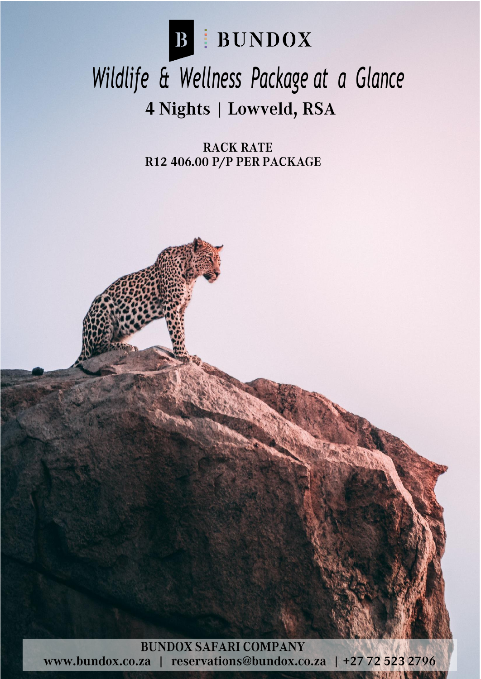

## *Wildlife & Wellness Package at a Glance*4 Nights | Lowveld, RSA

**RACK RATE** R12 406.00 P/P PER PACKAGE



www.bundox.co.za | reservations@bundox.co.za | +27 72 523 2796

1

**READER NEWS**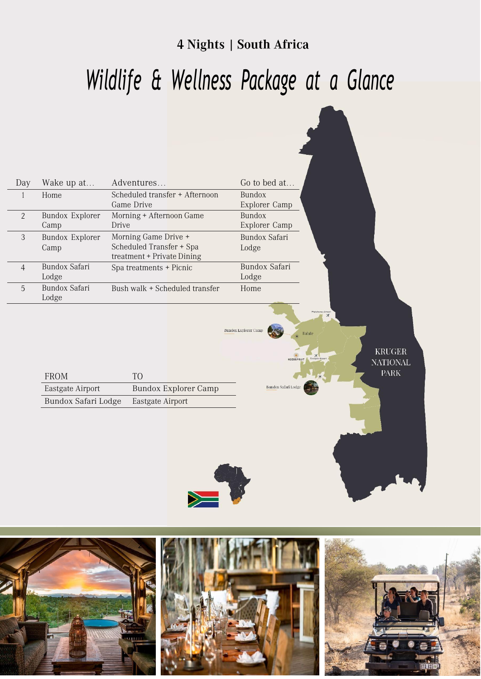#### 4 Nights | South Africa

# *Wildlife & Wellness Package at a Glance*

| Day            | Wake up at                     | Adventures                                                                     | Go to bed at                                                                                                                  |
|----------------|--------------------------------|--------------------------------------------------------------------------------|-------------------------------------------------------------------------------------------------------------------------------|
| $\mathbf{1}$   | Home                           | Scheduled transfer + Afternoon<br>Game Drive                                   | <b>Bundox</b><br>Explorer Camp                                                                                                |
| $\overline{2}$ | <b>Bundox Explorer</b><br>Camp | Morning + Afternoon Game<br>Drive                                              | <b>Bundox</b><br>Explorer Camp                                                                                                |
| $\mathfrak{Z}$ | <b>Bundox Explorer</b><br>Camp | Morning Game Drive +<br>Scheduled Transfer + Spa<br>treatment + Private Dining | <b>Bundox Safari</b><br>Lodge                                                                                                 |
| $\overline{4}$ | Bundox Safari<br>Lodge         | Spa treatments + Picnic                                                        | Bundox Safari<br>Lodge                                                                                                        |
| 5              | Bundox Safari<br>Lodge         | Bush walk + Scheduled transfer                                                 | Home                                                                                                                          |
|                | <b>FROM</b>                    | TO <sub>1</sub>                                                                | Phalaborus Airpor<br>$\mathbb{X}$<br><b>Bundox Explorer Camp</b><br>Balule<br><b>KRUGER</b><br><b>NATIONAL</b><br><b>PARK</b> |
|                | Eastgate Airport               | <b>Bundox Explorer Camp</b>                                                    | Bundox Safari Lodge                                                                                                           |
|                | Bundox Safari Lodge            | Eastgate Airport                                                               |                                                                                                                               |

![](_page_1_Picture_3.jpeg)